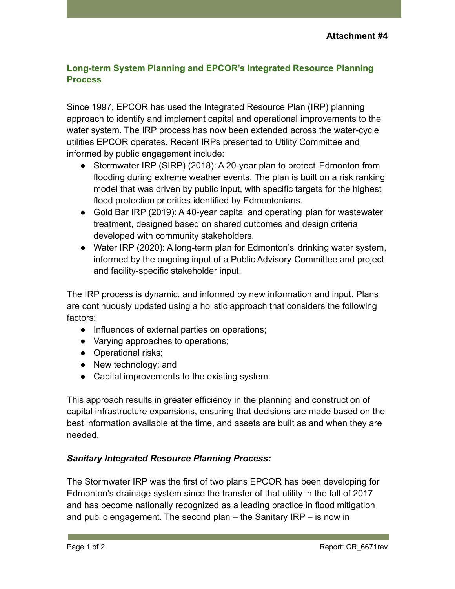## **Long-term System Planning and EPCOR's Integrated Resource Planning Process**

Since 1997, EPCOR has used the Integrated Resource Plan (IRP) planning approach to identify and implement capital and operational improvements to the water system. The IRP process has now been extended across the water-cycle utilities EPCOR operates. Recent IRPs presented to Utility Committee and informed by public engagement include:

- Stormwater IRP (SIRP) (2018): A 20-year plan to protect Edmonton from flooding during extreme weather events. The plan is built on a risk ranking model that was driven by public input, with specific targets for the highest flood protection priorities identified by Edmontonians.
- Gold Bar IRP (2019): A 40-year capital and operating plan for wastewater treatment, designed based on shared outcomes and design criteria developed with community stakeholders.
- Water IRP (2020): A long-term plan for Edmonton's drinking water system, informed by the ongoing input of a Public Advisory Committee and project and facility-specific stakeholder input.

The IRP process is dynamic, and informed by new information and input. Plans are continuously updated using a holistic approach that considers the following factors:

- Influences of external parties on operations;
- Varying approaches to operations;
- Operational risks;
- New technology; and
- Capital improvements to the existing system.

This approach results in greater efficiency in the planning and construction of capital infrastructure expansions, ensuring that decisions are made based on the best information available at the time, and assets are built as and when they are needed.

## *Sanitary Integrated Resource Planning Process:*

The Stormwater IRP was the first of two plans EPCOR has been developing for Edmonton's drainage system since the transfer of that utility in the fall of 2017 and has become nationally recognized as a leading practice in flood mitigation and public engagement. The second plan – the Sanitary IRP – is now in